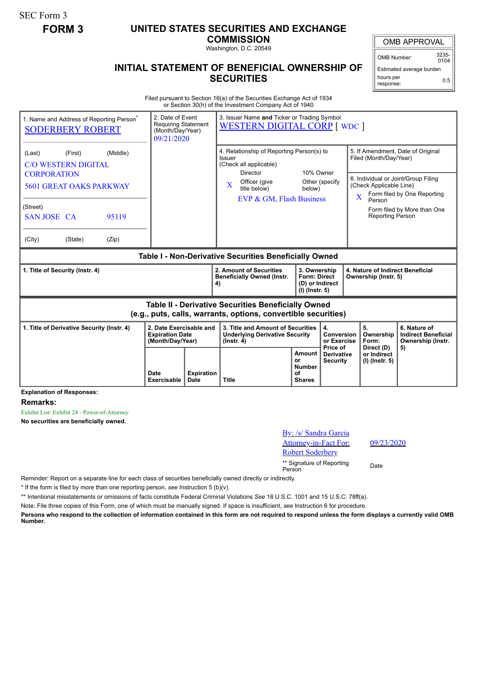SEC Form 3

## **FORM 3 UNITED STATES SECURITIES AND EXCHANGE**

**COMMISSION** Washington, D.C. 20549

## **INITIAL STATEMENT OF BENEFICIAL OWNERSHIP OF SECURITIES**

OMB APPROVAL

OMB Number: 3235-  $0104$ 

Estimated average burden hours per response: 0.5

Filed pursuant to Section 16(a) of the Securities Exchange Act of 1934 or Section 30(h) of the Investment Company Act of 1940

| 1. Name and Address of Reporting Person <sup>*</sup><br><b>SODERBERY ROBERT</b>                                                                                                              | 2. Date of Event<br><b>Requiring Statement</b><br>(Month/Day/Year)<br>09/21/2020 |                           | 3. Issuer Name and Ticker or Trading Symbol<br><b>WESTERN DIGITAL CORP [ WDC ]</b>                                                                          |                                                                          |                                                  |                                                                                             |                                                                                                                                        |  |
|----------------------------------------------------------------------------------------------------------------------------------------------------------------------------------------------|----------------------------------------------------------------------------------|---------------------------|-------------------------------------------------------------------------------------------------------------------------------------------------------------|--------------------------------------------------------------------------|--------------------------------------------------|---------------------------------------------------------------------------------------------|----------------------------------------------------------------------------------------------------------------------------------------|--|
| (Middle)<br>(Last)<br>(First)<br><b>C/O WESTERN DIGITAL</b><br><b>CORPORATION</b><br><b>5601 GREAT OAKS PARKWAY</b><br>(Street)<br><b>SAN JOSE CA</b><br>95119<br>(City)<br>(State)<br>(Zip) |                                                                                  |                           | 4. Relationship of Reporting Person(s) to<br>Issuer<br>(Check all applicable)<br>Director<br>Officer (give<br>X<br>title below)<br>EVP & GM, Flash Business | 10% Owner<br>below)                                                      | Other (specify                                   | Filed (Month/Day/Year)<br>(Check Applicable Line)<br>X<br>Person<br><b>Reporting Person</b> | 5. If Amendment, Date of Original<br>6. Individual or Joint/Group Filing<br>Form filed by One Reporting<br>Form filed by More than One |  |
| Table I - Non-Derivative Securities Beneficially Owned                                                                                                                                       |                                                                                  |                           |                                                                                                                                                             |                                                                          |                                                  |                                                                                             |                                                                                                                                        |  |
| 1. Title of Security (Instr. 4)                                                                                                                                                              |                                                                                  |                           | 2. Amount of Securities<br><b>Beneficially Owned (Instr.</b><br>4)                                                                                          | 3. Ownership<br><b>Form: Direct</b><br>(D) or Indirect<br>(I) (Instr. 5) |                                                  | 4. Nature of Indirect Beneficial<br>Ownership (Instr. 5)                                    |                                                                                                                                        |  |
| <b>Table II - Derivative Securities Beneficially Owned</b><br>(e.g., puts, calls, warrants, options, convertible securities)                                                                 |                                                                                  |                           |                                                                                                                                                             |                                                                          |                                                  |                                                                                             |                                                                                                                                        |  |
| 1. Title of Derivative Security (Instr. 4)                                                                                                                                                   | 2. Date Exercisable and<br><b>Expiration Date</b><br>(Month/Day/Year)            |                           | 3. Title and Amount of Securities<br><b>Underlying Derivative Security</b><br>$($ lnstr. 4 $)$                                                              |                                                                          | $\overline{4}$ .<br>Conversion<br>or Exercise    | 5.<br>Ownership<br>Form:                                                                    | 6. Nature of<br><b>Indirect Beneficial</b><br>Ownership (Instr.                                                                        |  |
| <b>Explanation of Responses:</b>                                                                                                                                                             | Date<br>Exercisable                                                              | <b>Expiration</b><br>Date | <b>Title</b>                                                                                                                                                | Amount<br>or<br>Number<br>of<br><b>Shares</b>                            | Price of<br><b>Derivative</b><br><b>Security</b> | Direct (D)<br>or Indirect<br>$(I)$ (lnstr. 5)                                               | 5)                                                                                                                                     |  |

**Remarks:**

Exhibit List: Exhibit 24 - Power-of-Attorney

**No securities are beneficially owned.**

| By: /s/ Sandra Garcia<br><b>Attorney-in-Fact For:</b><br><b>Robert Soderbery</b> | 09   |
|----------------------------------------------------------------------------------|------|
| ** Signature of Reporting<br>Person                                              | Date |

09/23/2020

Reminder: Report on a separate line for each class of securities beneficially owned directly or indirectly.

\* If the form is filed by more than one reporting person, *see* Instruction 5 (b)(v).

\*\* Intentional misstatements or omissions of facts constitute Federal Criminal Violations *See* 18 U.S.C. 1001 and 15 U.S.C. 78ff(a).

Note: File three copies of this Form, one of which must be manually signed. If space is insufficient, *see* Instruction 6 for procedure.

**Persons who respond to the collection of information contained in this form are not required to respond unless the form displays a currently valid OMB Number.**